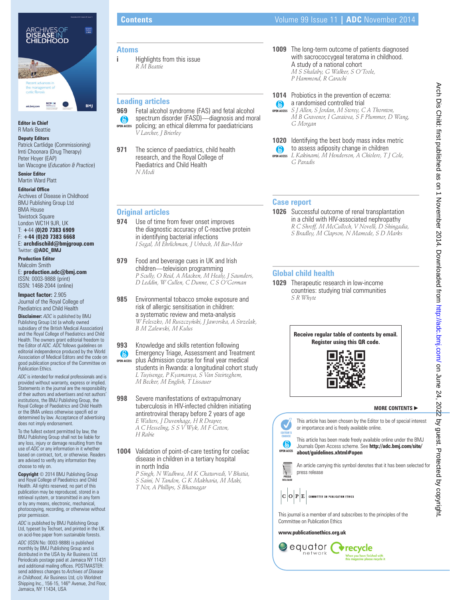

### **Editor in Chief** R Mark Beattie

**Deputy Editors**

Patrick Cartlidge (Commissioning) Imti Choonara (Drug Therapy) Peter Hoyer (EAP) Ian Wacogne (*Education & Practice*)

**Senior Editor** Martin Ward Platt

**Editorial Office** Archives of Disease in Childhood BMJ Publishing Group Ltd BMA House Tavistock Square London WC1H 9JR, UK T: **+**44 **(0)20 7383 6909** F: **+44 (0)20 7383 6668**

E: **archdischild@bmjgroup.com** Twitter: **@ADC\_BMJ**

**Production Editor** Malcolm Smith E: **production.adc@bmj.com**

ISSN: 0003-9888 (print) ISSN: 1468-2044 (online)

**Impact factor:** 2.905 Journal of the Royal College of Paediatrics and Child Health

**Disclaimer:** *ADC* is published by BMJ Publishing Group Ltd (a wholly owned subsidiary of the British Medical Association) and the Royal College of Paediatrics and Child Health. The owners grant editorial freedom to the Editor of *ADC. ADC* follows guidelines on editorial independence produced by the World Association of Medical Editors and the code on good publication practice of the Committee on Publication Ethics.

*ADC* is intended for medical professionals and is provided without warranty, express or implied. Statements in the journal are the responsibility of their authors and advertisers and not authors' institutions, the BMJ Publishing Group, the Royal College of Paediatrics and Child Health or the BMA unless otherwise specifi ed or determined by law. Acceptance of advertising does not imply endorsement.

To the fullest extent permitted by law, the BMJ Publishing Group shall not be liable for any loss, injury or damage resulting from the use of *ADC* or any information in it whether based on contract, tort, or otherwise. Readers are advised to verify any information they choose to rely on.

**Copyright** © 2014 BMJ Publishing Group and Royal College of Paediatrics and Child Health. All rights reserved; no part of this publication may be reproduced, stored in a retrieval system, or transmitted in any form or by any means, electronic, mechanical, photocopying, recording, or otherwise without prior permission.

*ADC* is published by BMJ Publishing Group Ltd, typeset by Techset, and printed in the UK on acid-free paper from sustainable forests.

*ADC* (ISSN No: 0003-9888) is published monthly by BMJ Publishing Group and is distributed in the USA by Air Business Ltd. Periodicals postage paid at Jamaica NY 11431 and additional mailing offices. POSTMASTER: send address changes to *Archives of Disease in Childhood*, Air Business Ltd, c/o Worldnet Shipping Inc., 156-15, 146<sup>th</sup> Avenue, 2nd Floor, Jamaica, NY 11434, USA

### **Atoms**

**i Highlights from this issue** *R M Beattie*

## **Leading articles**

- **969** Fetal alcohol syndrome (FAS) and fetal alcohol spectrum disorder (FASD)—diagnosis and moral  $\odot$ **OPEN ACCESS** policing; an ethical dilemma for paediatricians *V Larcher, J Brierley*
- **971** The science of paediatrics, child health research, and the Royal College of Paediatrics and Child Health *N Modi*
- **Original articles**
- **974** Use of time from fever onset improves the diagnostic accuracy of C-reactive protein in identifying bacterial infections *I Segal, M Ehrlichman, J Urbach, M Bar-Meir*

**979** Food and beverage cues in UK and Irish children—television programming *P Scully, O Reid, A Macken, M Healy, J Saunders, D Leddin, W Cullen, C Dunne, C S O'Gorman*

**985** Environmental tobacco smoke exposure and risk of allergic sensitisation in children: a systematic review and meta-analysis *W Feleszko, M Ruszczyn´ ski, J Jaworska, A Strzelak, B M Zalewski, M Kulus*

**993** Knowledge and skills retention following Emergency Triage, Assessment and Treatment  $\odot$ plus Admission course for final year medical **OPEN ACCESS** students in Rwanda: a longitudinal cohort study *L Tuyisenge, P Kyamanya, S Van Steirteghem, M Becker, M English, T Lissauer*

**998** Severe manifestations of extrapulmonary tuberculosis in HIV-infected children initiating antiretroviral therapy before 2 years of age *E Walters, J Duvenhage, H R Draper, A C Hesseling, S S V Wyk, M F Cotton, H Rabie*

**1004** Validation of point-of-care testing for coeliac disease in children in a tertiary hospital in north India

*P Singh, N Wadhwa, M K Chaturvedi, V Bhatia, S Saini, N Tandon, G K Makharia, M Maki, T Not, A Phillips, S Bhatnagar*

# **Contents** Volume 99 Issue 11 **| ADC** November 2014

- **1009** The long-term outcome of patients diagnosed with sacrococcygeal teratoma in childhood. A study of a national cohort *M S Shalaby, G Walker, S O'Toole, P Hammond, R Carachi*
- **1014** Probiotics in the prevention of eczema: **a** randomised controlled trial *S J Allen, S Jordan, M Storey, C A Thornton, M B Gravenor, I Garaiova, S F Plummer, D Wang,*  **OPEN ACCESS**
- **1020** Identifying the best body mass index metric to assess adiposity change in children  $\odot$ *L Kakinami, M Henderson, A Chiolero, T J Cole,*  **OPEN ACCESS**

### **Case report**

*G Morgan*

*G Paradis*

**1026** Successful outcome of renal transplantation in a child with HIV-associated nephropathy *R C Shroff, M McCulloch, V Novelli, D Shingadia, S Bradley, M Clapson, N Mamode, S D Marks*

# **Global child health**

**1029** Therapeutic research in low-income countries: studying trial communities *S R Whyte*



### **MORE CONTENTS** -



.<br>When you have finished with<br>this magazine please recycle it